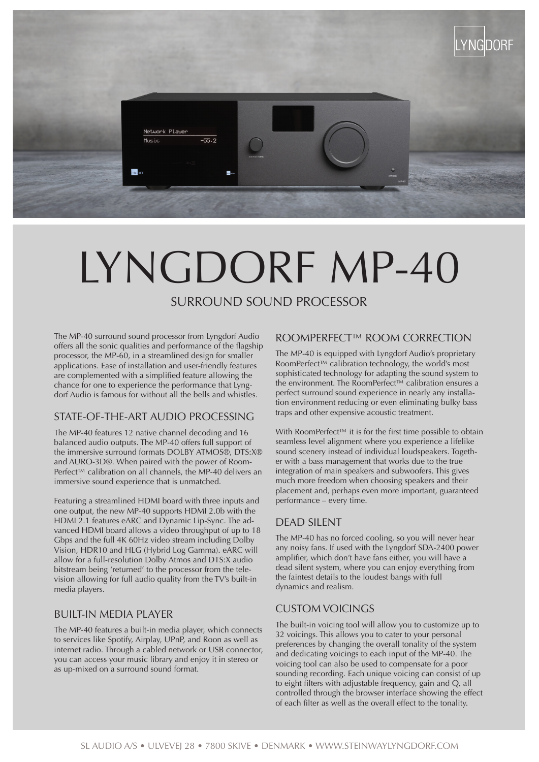

# LYNGDORF MP-40

## SURROUND SOUND PROCESSOR

The MP-40 surround sound processor from Lyngdorf Audio offers all the sonic qualities and performance of the flagship processor, the MP-60, in a streamlined design for smaller applications. Ease of installation and user-friendly features are complemented with a simplified feature allowing the chance for one to experience the performance that Lyngdorf Audio is famous for without all the bells and whistles.

#### STATE-OF-THE-ART AUDIO PROCESSING

The MP-40 features 12 native channel decoding and 16 balanced audio outputs. The MP-40 offers full support of the immersive surround formats DOLBY ATMOS®, DTS:X® and AURO-3D®. When paired with the power of Room-Perfect<sup>™</sup> calibration on all channels, the MP-40 delivers an immersive sound experience that is unmatched.

Featuring a streamlined HDMI board with three inputs and one output, the new MP-40 supports HDMI 2.0b with the HDMI 2.1 features eARC and Dynamic Lip-Sync. The advanced HDMI board allows a video throughput of up to 18 Gbps and the full 4K 60Hz video stream including Dolby Vision, HDR10 and HLG (Hybrid Log Gamma). eARC will allow for a full-resolution Dolby Atmos and DTS:X audio bitstream being 'returned' to the processor from the television allowing for full audio quality from the TV's built-in media players.

#### BUILT-IN MEDIA PLAYER

The MP-40 features a built-in media player, which connects to services like Spotify, Airplay, UPnP, and Roon as well as internet radio. Through a cabled network or USB connector, you can access your music library and enjoy it in stereo or as up-mixed on a surround sound format.

#### ROOMPERFECT™ ROOM CORRECTION

The MP-40 is equipped with Lyngdorf Audio's proprietary RoomPerfect™ calibration technology, the world's most sophisticated technology for adapting the sound system to the environment. The RoomPerfect™ calibration ensures a perfect surround sound experience in nearly any installation environment reducing or even eliminating bulky bass traps and other expensive acoustic treatment.

With RoomPerfect™ it is for the first time possible to obtain seamless level alignment where you experience a lifelike sound scenery instead of individual loudspeakers. Together with a bass management that works due to the true integration of main speakers and subwoofers. This gives much more freedom when choosing speakers and their placement and, perhaps even more important, guaranteed performance – every time.

### DEAD SILENT

The MP-40 has no forced cooling, so you will never hear any noisy fans. If used with the Lyngdorf SDA-2400 power amplifier, which don't have fans either, you will have a dead silent system, where you can enjoy everything from the faintest details to the loudest bangs with full dynamics and realism.

#### CUSTOM VOICINGS

The built-in voicing tool will allow you to customize up to 32 voicings. This allows you to cater to your personal preferences by changing the overall tonality of the system and dedicating voicings to each input of the MP-40. The voicing tool can also be used to compensate for a poor sounding recording. Each unique voicing can consist of up to eight filters with adjustable frequency, gain and Q, all controlled through the browser interface showing the effect of each filter as well as the overall effect to the tonality.